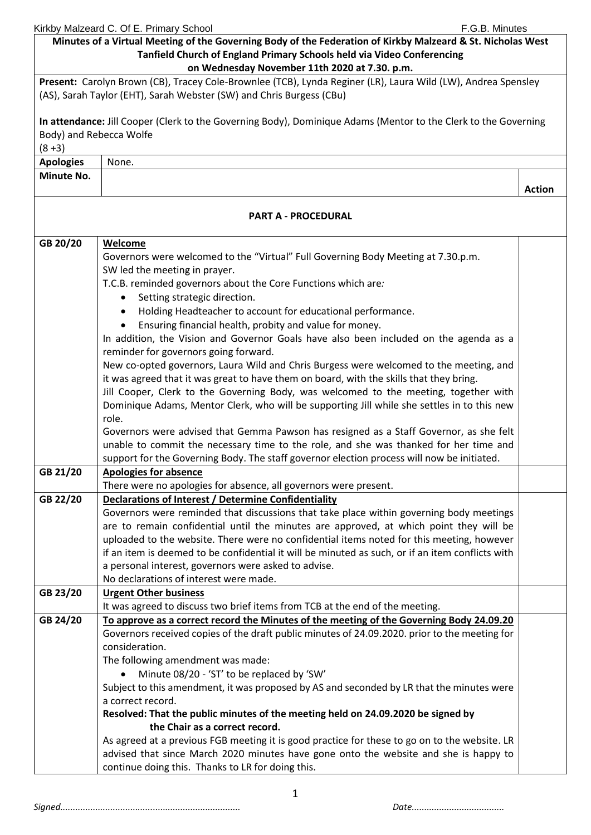| Kirkby Malzeard C. Of E. Primary School |  | F.G.B. Minutes |
|-----------------------------------------|--|----------------|
|                                         |  |                |

|                         | Minutes of a Virtual Meeting of the Governing Body of the Federation of Kirkby Malzeard & St. Nicholas West             |               |  |  |  |
|-------------------------|-------------------------------------------------------------------------------------------------------------------------|---------------|--|--|--|
|                         | Tanfield Church of England Primary Schools held via Video Conferencing<br>on Wednesday November 11th 2020 at 7.30. p.m. |               |  |  |  |
|                         | Present: Carolyn Brown (CB), Tracey Cole-Brownlee (TCB), Lynda Reginer (LR), Laura Wild (LW), Andrea Spensley           |               |  |  |  |
|                         | (AS), Sarah Taylor (EHT), Sarah Webster (SW) and Chris Burgess (CBu)                                                    |               |  |  |  |
|                         |                                                                                                                         |               |  |  |  |
|                         | In attendance: Jill Cooper (Clerk to the Governing Body), Dominique Adams (Mentor to the Clerk to the Governing         |               |  |  |  |
| Body) and Rebecca Wolfe |                                                                                                                         |               |  |  |  |
| $(8+3)$                 |                                                                                                                         |               |  |  |  |
| <b>Apologies</b>        | None.                                                                                                                   |               |  |  |  |
| Minute No.              |                                                                                                                         |               |  |  |  |
|                         |                                                                                                                         | <b>Action</b> |  |  |  |
|                         |                                                                                                                         |               |  |  |  |
|                         | <b>PART A - PROCEDURAL</b>                                                                                              |               |  |  |  |
|                         |                                                                                                                         |               |  |  |  |
| GB 20/20                | Welcome                                                                                                                 |               |  |  |  |
|                         | Governors were welcomed to the "Virtual" Full Governing Body Meeting at 7.30.p.m.<br>SW led the meeting in prayer.      |               |  |  |  |
|                         | T.C.B. reminded governors about the Core Functions which are:                                                           |               |  |  |  |
|                         | Setting strategic direction.<br>$\bullet$                                                                               |               |  |  |  |
|                         | Holding Headteacher to account for educational performance.<br>$\bullet$                                                |               |  |  |  |
|                         | Ensuring financial health, probity and value for money.<br>$\bullet$                                                    |               |  |  |  |
|                         | In addition, the Vision and Governor Goals have also been included on the agenda as a                                   |               |  |  |  |
|                         | reminder for governors going forward.                                                                                   |               |  |  |  |
|                         | New co-opted governors, Laura Wild and Chris Burgess were welcomed to the meeting, and                                  |               |  |  |  |
|                         | it was agreed that it was great to have them on board, with the skills that they bring.                                 |               |  |  |  |
|                         | Jill Cooper, Clerk to the Governing Body, was welcomed to the meeting, together with                                    |               |  |  |  |
|                         | Dominique Adams, Mentor Clerk, who will be supporting Jill while she settles in to this new                             |               |  |  |  |
|                         | role.                                                                                                                   |               |  |  |  |
|                         | Governors were advised that Gemma Pawson has resigned as a Staff Governor, as she felt                                  |               |  |  |  |
|                         | unable to commit the necessary time to the role, and she was thanked for her time and                                   |               |  |  |  |
|                         | support for the Governing Body. The staff governor election process will now be initiated.                              |               |  |  |  |
| GB 21/20                | <b>Apologies for absence</b>                                                                                            |               |  |  |  |
|                         | There were no apologies for absence, all governors were present.                                                        |               |  |  |  |
| GB 22/20                | Declarations of Interest / Determine Confidentiality                                                                    |               |  |  |  |
|                         | Governors were reminded that discussions that take place within governing body meetings                                 |               |  |  |  |
|                         | are to remain confidential until the minutes are approved, at which point they will be                                  |               |  |  |  |
|                         | uploaded to the website. There were no confidential items noted for this meeting, however                               |               |  |  |  |
|                         | if an item is deemed to be confidential it will be minuted as such, or if an item conflicts with                        |               |  |  |  |
|                         | a personal interest, governors were asked to advise.<br>No declarations of interest were made.                          |               |  |  |  |
| GB 23/20                | <b>Urgent Other business</b>                                                                                            |               |  |  |  |
|                         | It was agreed to discuss two brief items from TCB at the end of the meeting.                                            |               |  |  |  |
| GB 24/20                | To approve as a correct record the Minutes of the meeting of the Governing Body 24.09.20                                |               |  |  |  |
|                         | Governors received copies of the draft public minutes of 24.09.2020. prior to the meeting for                           |               |  |  |  |
|                         | consideration.                                                                                                          |               |  |  |  |
|                         | The following amendment was made:                                                                                       |               |  |  |  |
|                         | Minute 08/20 - 'ST' to be replaced by 'SW'                                                                              |               |  |  |  |
|                         | Subject to this amendment, it was proposed by AS and seconded by LR that the minutes were                               |               |  |  |  |
|                         | a correct record.                                                                                                       |               |  |  |  |
|                         | Resolved: That the public minutes of the meeting held on 24.09.2020 be signed by                                        |               |  |  |  |
|                         | the Chair as a correct record.                                                                                          |               |  |  |  |
|                         | As agreed at a previous FGB meeting it is good practice for these to go on to the website. LR                           |               |  |  |  |
|                         | advised that since March 2020 minutes have gone onto the website and she is happy to                                    |               |  |  |  |
|                         | continue doing this. Thanks to LR for doing this.                                                                       |               |  |  |  |

1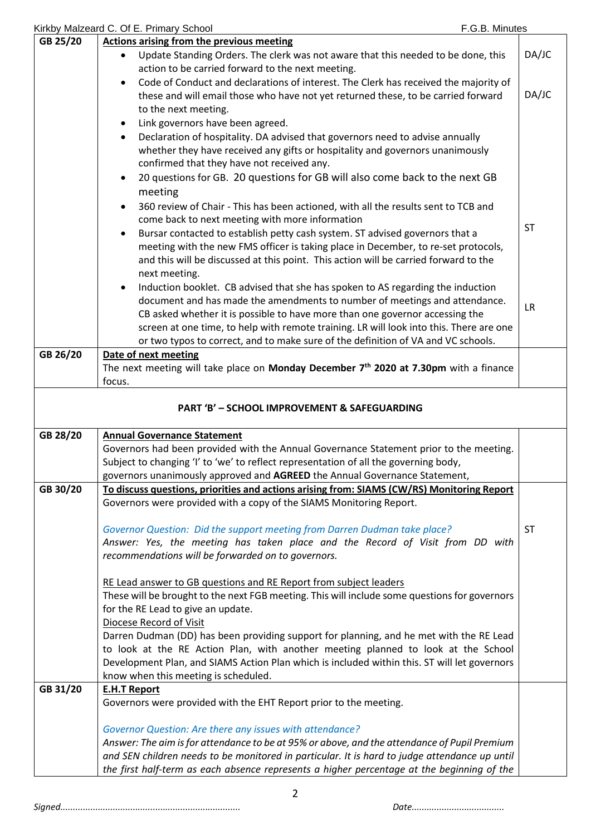|          | Kirkby Malzeard C. Of E. Primary School<br>F.G.B. Minutes                                                                                                                                   |           |
|----------|---------------------------------------------------------------------------------------------------------------------------------------------------------------------------------------------|-----------|
| GB 25/20 | <b>Actions arising from the previous meeting</b>                                                                                                                                            |           |
|          | Update Standing Orders. The clerk was not aware that this needed to be done, this                                                                                                           | DA/JC     |
|          | action to be carried forward to the next meeting.                                                                                                                                           |           |
|          | Code of Conduct and declarations of interest. The Clerk has received the majority of                                                                                                        |           |
|          | these and will email those who have not yet returned these, to be carried forward                                                                                                           | DA/JC     |
|          | to the next meeting.                                                                                                                                                                        |           |
|          | Link governors have been agreed.<br>$\bullet$                                                                                                                                               |           |
|          | Declaration of hospitality. DA advised that governors need to advise annually<br>$\bullet$                                                                                                  |           |
|          |                                                                                                                                                                                             |           |
|          | whether they have received any gifts or hospitality and governors unanimously                                                                                                               |           |
|          | confirmed that they have not received any.                                                                                                                                                  |           |
|          | 20 questions for GB. 20 questions for GB will also come back to the next GB<br>$\bullet$                                                                                                    |           |
|          | meeting                                                                                                                                                                                     |           |
|          | 360 review of Chair - This has been actioned, with all the results sent to TCB and<br>$\bullet$                                                                                             |           |
|          | come back to next meeting with more information                                                                                                                                             |           |
|          | Bursar contacted to establish petty cash system. ST advised governors that a<br>$\bullet$                                                                                                   | <b>ST</b> |
|          | meeting with the new FMS officer is taking place in December, to re-set protocols,                                                                                                          |           |
|          | and this will be discussed at this point. This action will be carried forward to the                                                                                                        |           |
|          | next meeting.                                                                                                                                                                               |           |
|          | Induction booklet. CB advised that she has spoken to AS regarding the induction<br>$\bullet$                                                                                                |           |
|          | document and has made the amendments to number of meetings and attendance.                                                                                                                  |           |
|          | CB asked whether it is possible to have more than one governor accessing the                                                                                                                | <b>LR</b> |
|          |                                                                                                                                                                                             |           |
|          | screen at one time, to help with remote training. LR will look into this. There are one                                                                                                     |           |
|          | or two typos to correct, and to make sure of the definition of VA and VC schools.                                                                                                           |           |
| GB 26/20 | Date of next meeting                                                                                                                                                                        |           |
|          | The next meeting will take place on Monday December 7 <sup>th</sup> 2020 at 7.30pm with a finance                                                                                           |           |
|          | focus.                                                                                                                                                                                      |           |
|          | <b>PART 'B' - SCHOOL IMPROVEMENT &amp; SAFEGUARDING</b>                                                                                                                                     |           |
| GB 28/20 | <b>Annual Governance Statement</b>                                                                                                                                                          |           |
|          | Governors had been provided with the Annual Governance Statement prior to the meeting.                                                                                                      |           |
|          | Subject to changing 'I' to 'we' to reflect representation of all the governing body,                                                                                                        |           |
|          | governors unanimously approved and AGREED the Annual Governance Statement,                                                                                                                  |           |
| GB 30/20 | To discuss questions, priorities and actions arising from: SIAMS (CW/RS) Monitoring Report                                                                                                  |           |
|          | Governors were provided with a copy of the SIAMS Monitoring Report.                                                                                                                         |           |
|          |                                                                                                                                                                                             |           |
|          | Governor Question: Did the support meeting from Darren Dudman take place?                                                                                                                   | <b>ST</b> |
|          | Answer: Yes, the meeting has taken place and the Record of Visit from DD with                                                                                                               |           |
|          |                                                                                                                                                                                             |           |
|          | recommendations will be forwarded on to governors.                                                                                                                                          |           |
|          |                                                                                                                                                                                             |           |
|          | RE Lead answer to GB questions and RE Report from subject leaders                                                                                                                           |           |
|          | These will be brought to the next FGB meeting. This will include some questions for governors                                                                                               |           |
|          | for the RE Lead to give an update.                                                                                                                                                          |           |
|          | Diocese Record of Visit                                                                                                                                                                     |           |
|          | Darren Dudman (DD) has been providing support for planning, and he met with the RE Lead                                                                                                     |           |
|          | to look at the RE Action Plan, with another meeting planned to look at the School                                                                                                           |           |
|          | Development Plan, and SIAMS Action Plan which is included within this. ST will let governors                                                                                                |           |
|          | know when this meeting is scheduled.                                                                                                                                                        |           |
| GB 31/20 | <b>E.H.T Report</b>                                                                                                                                                                         |           |
|          | Governors were provided with the EHT Report prior to the meeting.                                                                                                                           |           |
|          | Governor Question: Are there any issues with attendance?                                                                                                                                    |           |
|          | Answer: The aim is for attendance to be at 95% or above, and the attendance of Pupil Premium                                                                                                |           |
|          |                                                                                                                                                                                             |           |
|          |                                                                                                                                                                                             |           |
|          | and SEN children needs to be monitored in particular. It is hard to judge attendance up until<br>the first half-term as each absence represents a higher percentage at the beginning of the |           |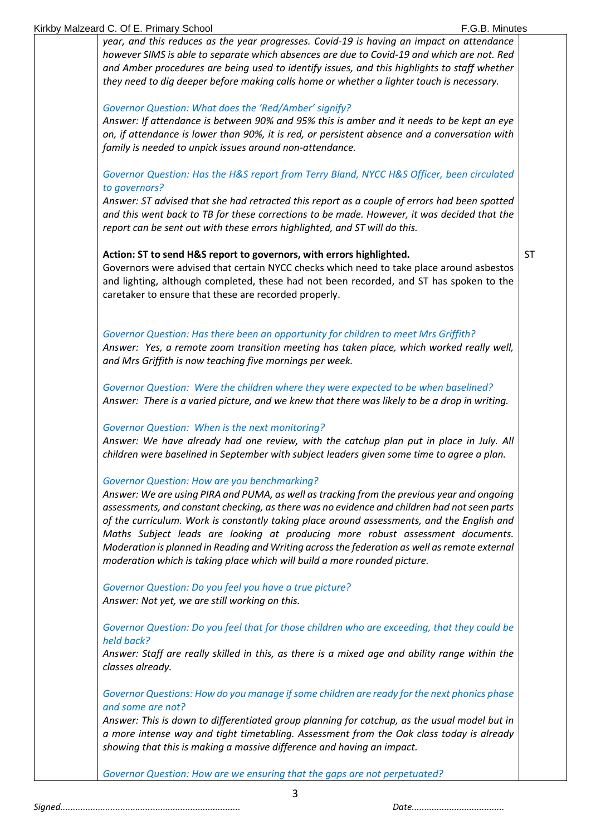3 *year, and this reduces as the year progresses. Covid-19 is having an impact on attendance however SIMS is able to separate which absences are due to Covid-19 and which are not. Red and Amber procedures are being used to identify issues, and this highlights to staff whether they need to dig deeper before making calls home or whether a lighter touch is necessary. Governor Question: What does the 'Red/Amber' signify? Answer: If attendance is between 90% and 95% this is amber and it needs to be kept an eye on, if attendance is lower than 90%, it is red, or persistent absence and a conversation with family is needed to unpick issues around non-attendance. Governor Question: Has the H&S report from Terry Bland, NYCC H&S Officer, been circulated to governors? Answer: ST advised that she had retracted this report as a couple of errors had been spotted and this went back to TB for these corrections to be made. However, it was decided that the report can be sent out with these errors highlighted, and ST will do this.* **Action: ST to send H&S report to governors, with errors highlighted.** Governors were advised that certain NYCC checks which need to take place around asbestos and lighting, although completed, these had not been recorded, and ST has spoken to the caretaker to ensure that these are recorded properly. *Governor Question: Has there been an opportunity for children to meet Mrs Griffith? Answer: Yes, a remote zoom transition meeting has taken place, which worked really well, and Mrs Griffith is now teaching five mornings per week. Governor Question: Were the children where they were expected to be when baselined? Answer: There is a varied picture, and we knew that there was likely to be a drop in writing. Governor Question: When is the next monitoring? Answer: We have already had one review, with the catchup plan put in place in July. All children were baselined in September with subject leaders given some time to agree a plan. Governor Question: How are you benchmarking? Answer: We are using PIRA and PUMA, as well astracking from the previous year and ongoing assessments, and constant checking, as there was no evidence and children had not seen parts of the curriculum. Work is constantly taking place around assessments, and the English and Maths Subject leads are looking at producing more robust assessment documents. Moderation is planned in Reading and Writing across the federation as well as remote external moderation which is taking place which will build a more rounded picture. Governor Question: Do you feel you have a true picture? Answer: Not yet, we are still working on this. Governor Question: Do you feel that for those children who are exceeding, that they could be held back? Answer: Staff are really skilled in this, as there is a mixed age and ability range within the classes already. Governor Questions: How do you manage if some children are ready for the next phonics phase and some are not? Answer: This is down to differentiated group planning for catchup, as the usual model but in a more intense way and tight timetabling. Assessment from the Oak class today is already showing that this is making a massive difference and having an impact. Governor Question: How are we ensuring that the gaps are not perpetuated?* ST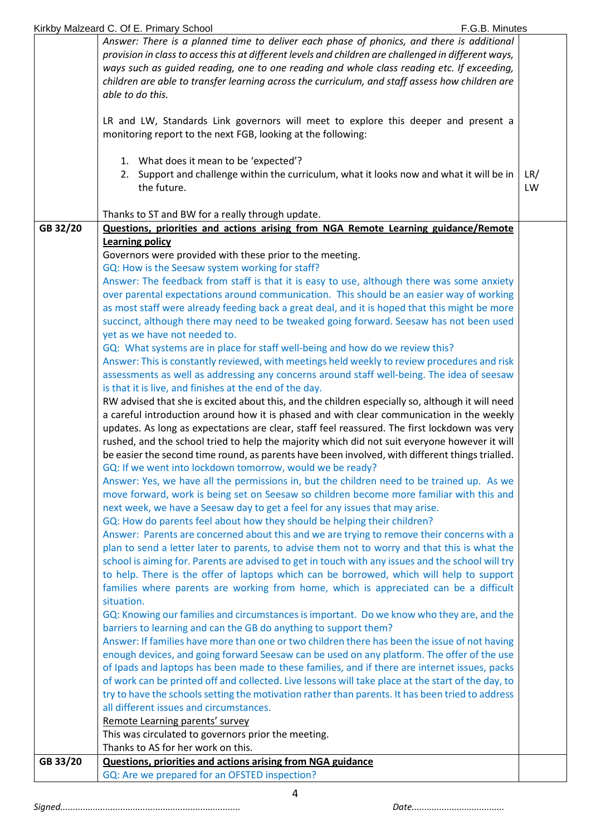|          | ways such as guided reading, one to one reading and whole class reading etc. If exceeding,                                                                                                             |           |
|----------|--------------------------------------------------------------------------------------------------------------------------------------------------------------------------------------------------------|-----------|
|          | children are able to transfer learning across the curriculum, and staff assess how children are                                                                                                        |           |
|          | able to do this.                                                                                                                                                                                       |           |
|          | LR and LW, Standards Link governors will meet to explore this deeper and present a<br>monitoring report to the next FGB, looking at the following:                                                     |           |
|          |                                                                                                                                                                                                        |           |
|          | 1. What does it mean to be 'expected'?<br>2. Support and challenge within the curriculum, what it looks now and what it will be in<br>the future.                                                      | LR/<br>LW |
|          | Thanks to ST and BW for a really through update.                                                                                                                                                       |           |
| GB 32/20 | Questions, priorities and actions arising from NGA Remote Learning guidance/Remote                                                                                                                     |           |
|          | <b>Learning policy</b>                                                                                                                                                                                 |           |
|          | Governors were provided with these prior to the meeting.                                                                                                                                               |           |
|          | GQ: How is the Seesaw system working for staff?                                                                                                                                                        |           |
|          | Answer: The feedback from staff is that it is easy to use, although there was some anxiety                                                                                                             |           |
|          | over parental expectations around communication. This should be an easier way of working                                                                                                               |           |
|          | as most staff were already feeding back a great deal, and it is hoped that this might be more                                                                                                          |           |
|          | succinct, although there may need to be tweaked going forward. Seesaw has not been used<br>yet as we have not needed to.                                                                               |           |
|          | GQ: What systems are in place for staff well-being and how do we review this?                                                                                                                          |           |
|          | Answer: This is constantly reviewed, with meetings held weekly to review procedures and risk                                                                                                           |           |
|          | assessments as well as addressing any concerns around staff well-being. The idea of seesaw                                                                                                             |           |
|          | is that it is live, and finishes at the end of the day.                                                                                                                                                |           |
|          | RW advised that she is excited about this, and the children especially so, although it will need                                                                                                       |           |
|          | a careful introduction around how it is phased and with clear communication in the weekly                                                                                                              |           |
|          | updates. As long as expectations are clear, staff feel reassured. The first lockdown was very                                                                                                          |           |
|          | rushed, and the school tried to help the majority which did not suit everyone however it will                                                                                                          |           |
|          | be easier the second time round, as parents have been involved, with different things trialled.                                                                                                        |           |
|          | GQ: If we went into lockdown tomorrow, would we be ready?                                                                                                                                              |           |
|          | Answer: Yes, we have all the permissions in, but the children need to be trained up. As we                                                                                                             |           |
|          | move forward, work is being set on Seesaw so children become more familiar with this and                                                                                                               |           |
|          | next week, we have a Seesaw day to get a feel for any issues that may arise.<br>GQ: How do parents feel about how they should be helping their children?                                               |           |
|          | Answer: Parents are concerned about this and we are trying to remove their concerns with a                                                                                                             |           |
|          | plan to send a letter later to parents, to advise them not to worry and that this is what the                                                                                                          |           |
|          | school is aiming for. Parents are advised to get in touch with any issues and the school will try                                                                                                      |           |
|          | to help. There is the offer of laptops which can be borrowed, which will help to support                                                                                                               |           |
|          | families where parents are working from home, which is appreciated can be a difficult                                                                                                                  |           |
|          | situation.                                                                                                                                                                                             |           |
|          | GQ: Knowing our families and circumstances is important. Do we know who they are, and the                                                                                                              |           |
|          | barriers to learning and can the GB do anything to support them?                                                                                                                                       |           |
|          | Answer: If families have more than one or two children there has been the issue of not having                                                                                                          |           |
|          | enough devices, and going forward Seesaw can be used on any platform. The offer of the use                                                                                                             |           |
|          | of Ipads and laptops has been made to these families, and if there are internet issues, packs                                                                                                          |           |
|          | of work can be printed off and collected. Live lessons will take place at the start of the day, to<br>try to have the schools setting the motivation rather than parents. It has been tried to address |           |
|          | all different issues and circumstances.                                                                                                                                                                |           |
|          |                                                                                                                                                                                                        |           |
|          |                                                                                                                                                                                                        |           |
|          | Remote Learning parents' survey                                                                                                                                                                        |           |
|          | This was circulated to governors prior the meeting.                                                                                                                                                    |           |
|          | Thanks to AS for her work on this.                                                                                                                                                                     |           |
| GB 33/20 | <b>Questions, priorities and actions arising from NGA guidance</b><br>GQ: Are we prepared for an OFSTED inspection?                                                                                    |           |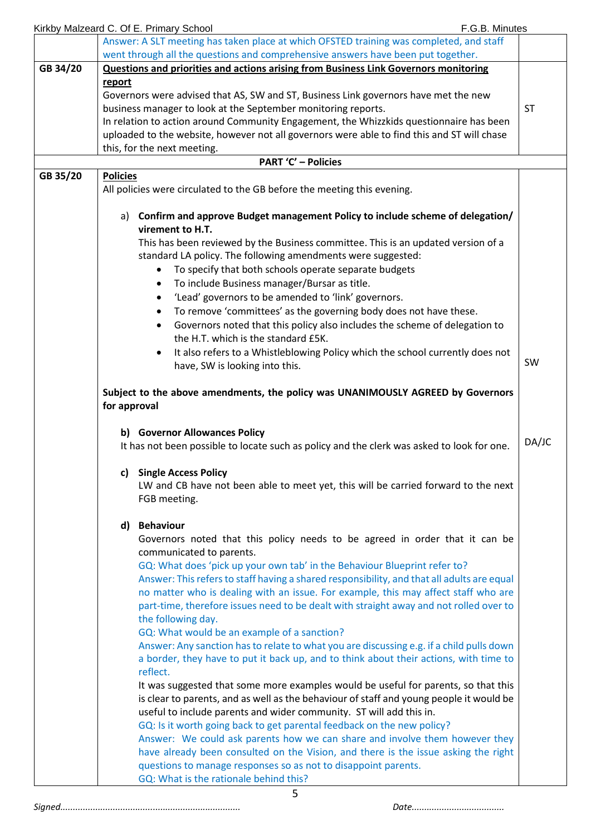|          |                                                                                         | Kirkby Malzeard C. Of E. Primary School<br>F.G.B. Minutes                                   |           |  |
|----------|-----------------------------------------------------------------------------------------|---------------------------------------------------------------------------------------------|-----------|--|
|          |                                                                                         | Answer: A SLT meeting has taken place at which OFSTED training was completed, and staff     |           |  |
|          |                                                                                         | went through all the questions and comprehensive answers have been put together.            |           |  |
| GB 34/20 |                                                                                         | Questions and priorities and actions arising from Business Link Governors monitoring        |           |  |
|          | report                                                                                  |                                                                                             |           |  |
|          | Governors were advised that AS, SW and ST, Business Link governors have met the new     |                                                                                             |           |  |
|          | business manager to look at the September monitoring reports.                           |                                                                                             |           |  |
|          | In relation to action around Community Engagement, the Whizzkids questionnaire has been |                                                                                             |           |  |
|          |                                                                                         | uploaded to the website, however not all governors were able to find this and ST will chase |           |  |
|          |                                                                                         | this, for the next meeting.                                                                 |           |  |
|          |                                                                                         | <b>PART 'C' - Policies</b>                                                                  |           |  |
|          |                                                                                         |                                                                                             |           |  |
| GB 35/20 | <b>Policies</b>                                                                         | All policies were circulated to the GB before the meeting this evening.                     |           |  |
|          |                                                                                         |                                                                                             |           |  |
|          |                                                                                         | a) Confirm and approve Budget management Policy to include scheme of delegation/            |           |  |
|          |                                                                                         | virement to H.T.                                                                            |           |  |
|          |                                                                                         |                                                                                             |           |  |
|          |                                                                                         | This has been reviewed by the Business committee. This is an updated version of a           |           |  |
|          |                                                                                         | standard LA policy. The following amendments were suggested:                                |           |  |
|          |                                                                                         | To specify that both schools operate separate budgets                                       |           |  |
|          |                                                                                         | To include Business manager/Bursar as title.<br>$\bullet$                                   |           |  |
|          |                                                                                         | 'Lead' governors to be amended to 'link' governors.<br>$\bullet$                            |           |  |
|          |                                                                                         | To remove 'committees' as the governing body does not have these.<br>$\bullet$              |           |  |
|          |                                                                                         | Governors noted that this policy also includes the scheme of delegation to<br>$\bullet$     |           |  |
|          |                                                                                         | the H.T. which is the standard £5K.                                                         |           |  |
|          |                                                                                         |                                                                                             |           |  |
|          |                                                                                         | It also refers to a Whistleblowing Policy which the school currently does not               | <b>SW</b> |  |
|          |                                                                                         | have, SW is looking into this.                                                              |           |  |
|          |                                                                                         | Subject to the above amendments, the policy was UNANIMOUSLY AGREED by Governors             |           |  |
|          | for approval                                                                            |                                                                                             |           |  |
|          |                                                                                         | b) Governor Allowances Policy                                                               |           |  |
|          |                                                                                         | It has not been possible to locate such as policy and the clerk was asked to look for one.  | DA/JC     |  |
|          |                                                                                         |                                                                                             |           |  |
|          | c)                                                                                      | <b>Single Access Policy</b>                                                                 |           |  |
|          |                                                                                         | LW and CB have not been able to meet yet, this will be carried forward to the next          |           |  |
|          |                                                                                         | FGB meeting.                                                                                |           |  |
|          |                                                                                         | <b>Behaviour</b>                                                                            |           |  |
|          | d)                                                                                      |                                                                                             |           |  |
|          |                                                                                         | Governors noted that this policy needs to be agreed in order that it can be                 |           |  |
|          |                                                                                         | communicated to parents.                                                                    |           |  |
|          |                                                                                         | GQ: What does 'pick up your own tab' in the Behaviour Blueprint refer to?                   |           |  |
|          |                                                                                         | Answer: This refers to staff having a shared responsibility, and that all adults are equal  |           |  |
|          |                                                                                         | no matter who is dealing with an issue. For example, this may affect staff who are          |           |  |
|          |                                                                                         | part-time, therefore issues need to be dealt with straight away and not rolled over to      |           |  |
|          |                                                                                         | the following day.                                                                          |           |  |
|          |                                                                                         | GQ: What would be an example of a sanction?                                                 |           |  |
|          |                                                                                         | Answer: Any sanction has to relate to what you are discussing e.g. if a child pulls down    |           |  |
|          |                                                                                         | a border, they have to put it back up, and to think about their actions, with time to       |           |  |
|          |                                                                                         | reflect.                                                                                    |           |  |
|          |                                                                                         | It was suggested that some more examples would be useful for parents, so that this          |           |  |
|          |                                                                                         | is clear to parents, and as well as the behaviour of staff and young people it would be     |           |  |
|          |                                                                                         | useful to include parents and wider community. ST will add this in.                         |           |  |
|          |                                                                                         |                                                                                             |           |  |
|          |                                                                                         | GQ: Is it worth going back to get parental feedback on the new policy?                      |           |  |
|          |                                                                                         | Answer: We could ask parents how we can share and involve them however they                 |           |  |
|          |                                                                                         | have already been consulted on the Vision, and there is the issue asking the right          |           |  |
|          |                                                                                         | questions to manage responses so as not to disappoint parents.                              |           |  |
|          |                                                                                         | GQ: What is the rationale behind this?                                                      |           |  |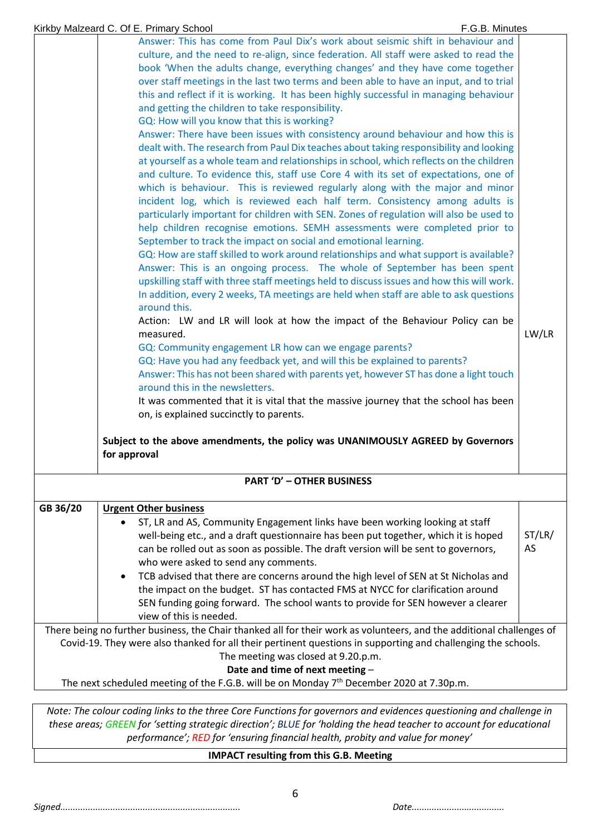| Kirkby Malzeard C. Of E. Primary School |  |  |
|-----------------------------------------|--|--|
|                                         |  |  |

| Answer: This has come from Paul Dix's work about seismic shift in behaviour and<br>culture, and the need to re-align, since federation. All staff were asked to read the<br>book 'When the adults change, everything changes' and they have come together<br>over staff meetings in the last two terms and been able to have an input, and to trial<br>this and reflect if it is working. It has been highly successful in managing behaviour<br>and getting the children to take responsibility.<br>GQ: How will you know that this is working?<br>Answer: There have been issues with consistency around behaviour and how this is<br>dealt with. The research from Paul Dix teaches about taking responsibility and looking<br>at yourself as a whole team and relationships in school, which reflects on the children<br>and culture. To evidence this, staff use Core 4 with its set of expectations, one of<br>which is behaviour. This is reviewed regularly along with the major and minor<br>incident log, which is reviewed each half term. Consistency among adults is<br>particularly important for children with SEN. Zones of regulation will also be used to<br>help children recognise emotions. SEMH assessments were completed prior to<br>September to track the impact on social and emotional learning.<br>GQ: How are staff skilled to work around relationships and what support is available?<br>Answer: This is an ongoing process. The whole of September has been spent<br>upskilling staff with three staff meetings held to discuss issues and how this will work.<br>In addition, every 2 weeks, TA meetings are held when staff are able to ask questions<br>around this.<br>Action: LW and LR will look at how the impact of the Behaviour Policy can be<br>measured.<br>GQ: Community engagement LR how can we engage parents?<br>GQ: Have you had any feedback yet, and will this be explained to parents?<br>Answer: This has not been shared with parents yet, however ST has done a light touch<br>around this in the newsletters.<br>It was commented that it is vital that the massive journey that the school has been |              |  |  |  |
|----------------------------------------------------------------------------------------------------------------------------------------------------------------------------------------------------------------------------------------------------------------------------------------------------------------------------------------------------------------------------------------------------------------------------------------------------------------------------------------------------------------------------------------------------------------------------------------------------------------------------------------------------------------------------------------------------------------------------------------------------------------------------------------------------------------------------------------------------------------------------------------------------------------------------------------------------------------------------------------------------------------------------------------------------------------------------------------------------------------------------------------------------------------------------------------------------------------------------------------------------------------------------------------------------------------------------------------------------------------------------------------------------------------------------------------------------------------------------------------------------------------------------------------------------------------------------------------------------------------------------------------------------------------------------------------------------------------------------------------------------------------------------------------------------------------------------------------------------------------------------------------------------------------------------------------------------------------------------------------------------------------------------------------------------------------------------------------------------------------------------------------------------------------|--------------|--|--|--|
| Subject to the above amendments, the policy was UNANIMOUSLY AGREED by Governors<br>for approval                                                                                                                                                                                                                                                                                                                                                                                                                                                                                                                                                                                                                                                                                                                                                                                                                                                                                                                                                                                                                                                                                                                                                                                                                                                                                                                                                                                                                                                                                                                                                                                                                                                                                                                                                                                                                                                                                                                                                                                                                                                                |              |  |  |  |
| <b>PART 'D' - OTHER BUSINESS</b>                                                                                                                                                                                                                                                                                                                                                                                                                                                                                                                                                                                                                                                                                                                                                                                                                                                                                                                                                                                                                                                                                                                                                                                                                                                                                                                                                                                                                                                                                                                                                                                                                                                                                                                                                                                                                                                                                                                                                                                                                                                                                                                               |              |  |  |  |
| GB 36/20<br><b>Urgent Other business</b>                                                                                                                                                                                                                                                                                                                                                                                                                                                                                                                                                                                                                                                                                                                                                                                                                                                                                                                                                                                                                                                                                                                                                                                                                                                                                                                                                                                                                                                                                                                                                                                                                                                                                                                                                                                                                                                                                                                                                                                                                                                                                                                       |              |  |  |  |
| ST, LR and AS, Community Engagement links have been working looking at staff<br>well-being etc., and a draft questionnaire has been put together, which it is hoped<br>can be rolled out as soon as possible. The draft version will be sent to governors,<br>who were asked to send any comments.                                                                                                                                                                                                                                                                                                                                                                                                                                                                                                                                                                                                                                                                                                                                                                                                                                                                                                                                                                                                                                                                                                                                                                                                                                                                                                                                                                                                                                                                                                                                                                                                                                                                                                                                                                                                                                                             | ST/LR/<br>AS |  |  |  |
| TCB advised that there are concerns around the high level of SEN at St Nicholas and<br>the impact on the budget. ST has contacted FMS at NYCC for clarification around<br>SEN funding going forward. The school wants to provide for SEN however a clearer<br>view of this is needed.                                                                                                                                                                                                                                                                                                                                                                                                                                                                                                                                                                                                                                                                                                                                                                                                                                                                                                                                                                                                                                                                                                                                                                                                                                                                                                                                                                                                                                                                                                                                                                                                                                                                                                                                                                                                                                                                          |              |  |  |  |
| There being no further business, the Chair thanked all for their work as volunteers, and the additional challenges of<br>Covid-19. They were also thanked for all their pertinent questions in supporting and challenging the schools.<br>The meeting was closed at 9.20.p.m.<br>Date and time of next meeting -                                                                                                                                                                                                                                                                                                                                                                                                                                                                                                                                                                                                                                                                                                                                                                                                                                                                                                                                                                                                                                                                                                                                                                                                                                                                                                                                                                                                                                                                                                                                                                                                                                                                                                                                                                                                                                               |              |  |  |  |
| The next scheduled meeting of the F.G.B. will be on Monday 7 <sup>th</sup> December 2020 at 7.30p.m.                                                                                                                                                                                                                                                                                                                                                                                                                                                                                                                                                                                                                                                                                                                                                                                                                                                                                                                                                                                                                                                                                                                                                                                                                                                                                                                                                                                                                                                                                                                                                                                                                                                                                                                                                                                                                                                                                                                                                                                                                                                           |              |  |  |  |

*Note: The colour coding links to the three Core Functions for governors and evidences questioning and challenge in these areas; GREEN for 'setting strategic direction'; BLUE for 'holding the head teacher to account for educational performance'; RED for 'ensuring financial health, probity and value for money'*

**IMPACT resulting from this G.B. Meeting**